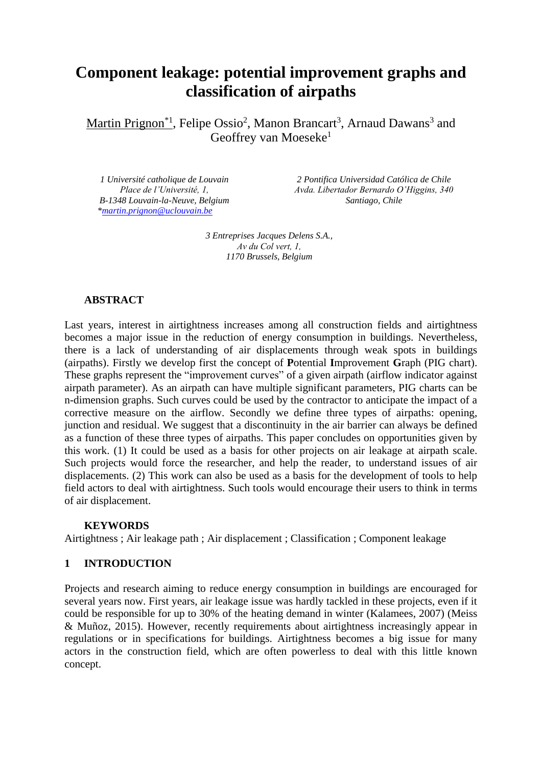# **Component leakage: potential improvement graphs and classification of airpaths**

Martin Prignon<sup>\*1</sup>, Felipe Ossio<sup>2</sup>, Manon Brancart<sup>3</sup>, Arnaud Dawans<sup>3</sup> and Geoffrey van Moeseke<sup>1</sup>

*1 Université catholique de Louvain Place de l'Université, 1, B-1348 Louvain-la-Neuve, Belgium [\\*martin.prignon@uclouvain.be](mailto:martin.prignon@uclouvain.be)*

*2 Pontifica Universidad Católica de Chile Avda. Libertador Bernardo O'Higgins, 340 Santiago, Chile*

*3 Entreprises Jacques Delens S.A., Av du Col vert, 1, 1170 Brussels, Belgium*

# **ABSTRACT**

Last years, interest in airtightness increases among all construction fields and airtightness becomes a major issue in the reduction of energy consumption in buildings. Nevertheless, there is a lack of understanding of air displacements through weak spots in buildings (airpaths). Firstly we develop first the concept of **P**otential **I**mprovement **G**raph (PIG chart). These graphs represent the "improvement curves" of a given airpath (airflow indicator against airpath parameter). As an airpath can have multiple significant parameters, PIG charts can be n-dimension graphs. Such curves could be used by the contractor to anticipate the impact of a corrective measure on the airflow. Secondly we define three types of airpaths: opening, junction and residual. We suggest that a discontinuity in the air barrier can always be defined as a function of these three types of airpaths. This paper concludes on opportunities given by this work. (1) It could be used as a basis for other projects on air leakage at airpath scale. Such projects would force the researcher, and help the reader, to understand issues of air displacements. (2) This work can also be used as a basis for the development of tools to help field actors to deal with airtightness. Such tools would encourage their users to think in terms of air displacement.

## **KEYWORDS**

Airtightness ; Air leakage path ; Air displacement ; Classification ; Component leakage

## **1 INTRODUCTION**

Projects and research aiming to reduce energy consumption in buildings are encouraged for several years now. First years, air leakage issue was hardly tackled in these projects, even if it could be responsible for up to 30% of the heating demand in winter (Kalamees, 2007) (Meiss & Muñoz, 2015). However, recently requirements about airtightness increasingly appear in regulations or in specifications for buildings. Airtightness becomes a big issue for many actors in the construction field, which are often powerless to deal with this little known concept.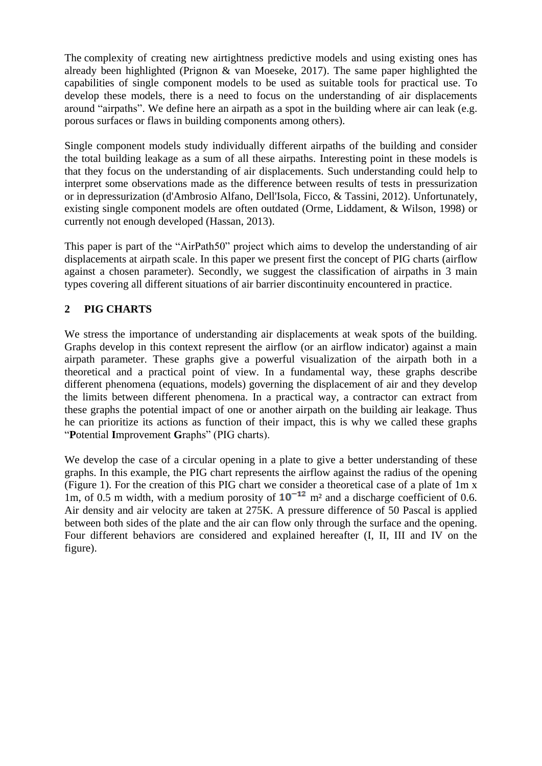The complexity of creating new airtightness predictive models and using existing ones has already been highlighted (Prignon & van Moeseke, 2017). The same paper highlighted the capabilities of single component models to be used as suitable tools for practical use. To develop these models, there is a need to focus on the understanding of air displacements around "airpaths". We define here an airpath as a spot in the building where air can leak (e.g. porous surfaces or flaws in building components among others).

Single component models study individually different airpaths of the building and consider the total building leakage as a sum of all these airpaths. Interesting point in these models is that they focus on the understanding of air displacements. Such understanding could help to interpret some observations made as the difference between results of tests in pressurization or in depressurization (d'Ambrosio Alfano, Dell'Isola, Ficco, & Tassini, 2012). Unfortunately, existing single component models are often outdated (Orme, Liddament, & Wilson, 1998) or currently not enough developed (Hassan, 2013).

This paper is part of the "AirPath50" project which aims to develop the understanding of air displacements at airpath scale. In this paper we present first the concept of PIG charts (airflow against a chosen parameter). Secondly, we suggest the classification of airpaths in 3 main types covering all different situations of air barrier discontinuity encountered in practice.

# **2 PIG CHARTS**

We stress the importance of understanding air displacements at weak spots of the building. Graphs develop in this context represent the airflow (or an airflow indicator) against a main airpath parameter. These graphs give a powerful visualization of the airpath both in a theoretical and a practical point of view. In a fundamental way, these graphs describe different phenomena (equations, models) governing the displacement of air and they develop the limits between different phenomena. In a practical way, a contractor can extract from these graphs the potential impact of one or another airpath on the building air leakage. Thus he can prioritize its actions as function of their impact, this is why we called these graphs "**P**otential **I**mprovement **G**raphs" (PIG charts).

We develop the case of a circular opening in a plate to give a better understanding of these graphs. In this example, the PIG chart represents the airflow against the radius of the opening [\(Figure 1\)](#page-2-0). For the creation of this PIG chart we consider a theoretical case of a plate of 1m x 1m, of 0.5 m width, with a medium porosity of  $10^{-12}$  m<sup>2</sup> and a discharge coefficient of 0.6. Air density and air velocity are taken at 275K. A pressure difference of 50 Pascal is applied between both sides of the plate and the air can flow only through the surface and the opening. Four different behaviors are considered and explained hereafter (I, II, III and IV on the figure).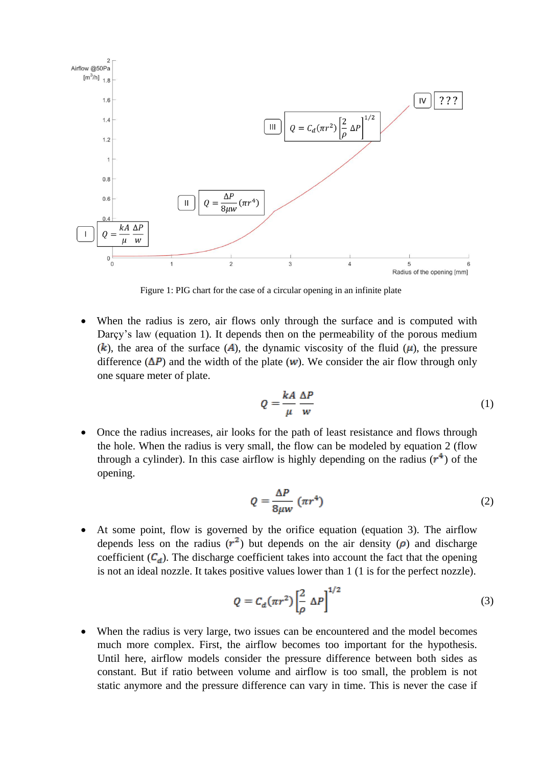

Figure 1: PIG chart for the case of a circular opening in an infinite plate

<span id="page-2-0"></span> When the radius is zero, air flows only through the surface and is computed with Darcy's law (equation 1). It depends then on the permeability of the porous medium (k), the area of the surface (A), the dynamic viscosity of the fluid ( $\mu$ ), the pressure difference  $(\Delta P)$  and the width of the plate (**w**). We consider the air flow through only one square meter of plate.

$$
Q = \frac{kA}{\mu} \frac{\Delta P}{w} \tag{1}
$$

 Once the radius increases, air looks for the path of least resistance and flows through the hole. When the radius is very small, the flow can be modeled by equation 2 (flow through a cylinder). In this case airflow is highly depending on the radius  $(r^4)$  of the opening.

$$
Q = \frac{\Delta P}{8\mu w} \left(\pi r^4\right) \tag{2}
$$

 At some point, flow is governed by the orifice equation (equation 3). The airflow depends less on the radius  $(r^2)$  but depends on the air density ( $\rho$ ) and discharge coefficient  $(C_d)$ . The discharge coefficient takes into account the fact that the opening is not an ideal nozzle. It takes positive values lower than 1 (1 is for the perfect nozzle).

$$
Q = C_d(\pi r^2) \left[\frac{2}{\rho} \Delta P\right]^{1/2} \tag{3}
$$

 When the radius is very large, two issues can be encountered and the model becomes much more complex. First, the airflow becomes too important for the hypothesis. Until here, airflow models consider the pressure difference between both sides as constant. But if ratio between volume and airflow is too small, the problem is not static anymore and the pressure difference can vary in time. This is never the case if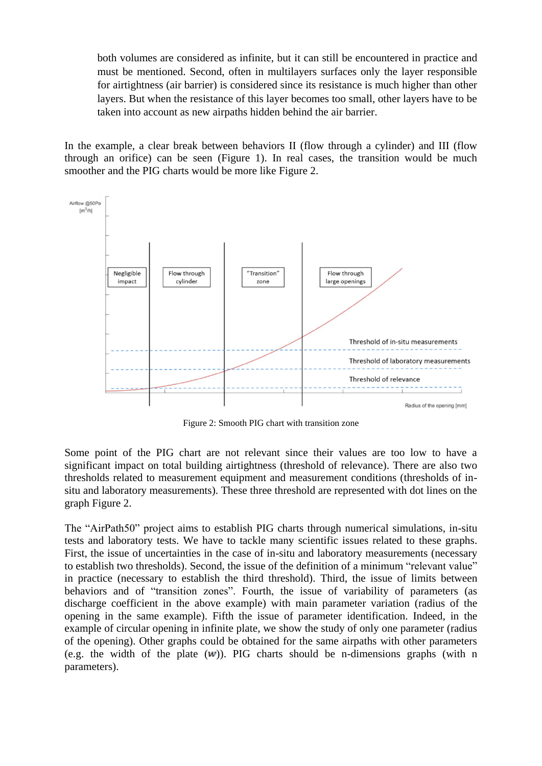both volumes are considered as infinite, but it can still be encountered in practice and must be mentioned. Second, often in multilayers surfaces only the layer responsible for airtightness (air barrier) is considered since its resistance is much higher than other layers. But when the resistance of this layer becomes too small, other layers have to be taken into account as new airpaths hidden behind the air barrier.

In the example, a clear break between behaviors II (flow through a cylinder) and III (flow through an orifice) can be seen [\(Figure 1\)](#page-2-0). In real cases, the transition would be much smoother and the PIG charts would be more like [Figure 2.](#page-3-0)



Figure 2: Smooth PIG chart with transition zone

<span id="page-3-0"></span>Some point of the PIG chart are not relevant since their values are too low to have a significant impact on total building airtightness (threshold of relevance). There are also two thresholds related to measurement equipment and measurement conditions (thresholds of insitu and laboratory measurements). These three threshold are represented with dot lines on the graph [Figure 2.](#page-3-0)

The "AirPath50" project aims to establish PIG charts through numerical simulations, in-situ tests and laboratory tests. We have to tackle many scientific issues related to these graphs. First, the issue of uncertainties in the case of in-situ and laboratory measurements (necessary to establish two thresholds). Second, the issue of the definition of a minimum "relevant value" in practice (necessary to establish the third threshold). Third, the issue of limits between behaviors and of "transition zones". Fourth, the issue of variability of parameters (as discharge coefficient in the above example) with main parameter variation (radius of the opening in the same example). Fifth the issue of parameter identification. Indeed, in the example of circular opening in infinite plate, we show the study of only one parameter (radius of the opening). Other graphs could be obtained for the same airpaths with other parameters (e.g. the width of the plate  $(w)$ ). PIG charts should be n-dimensions graphs (with n parameters).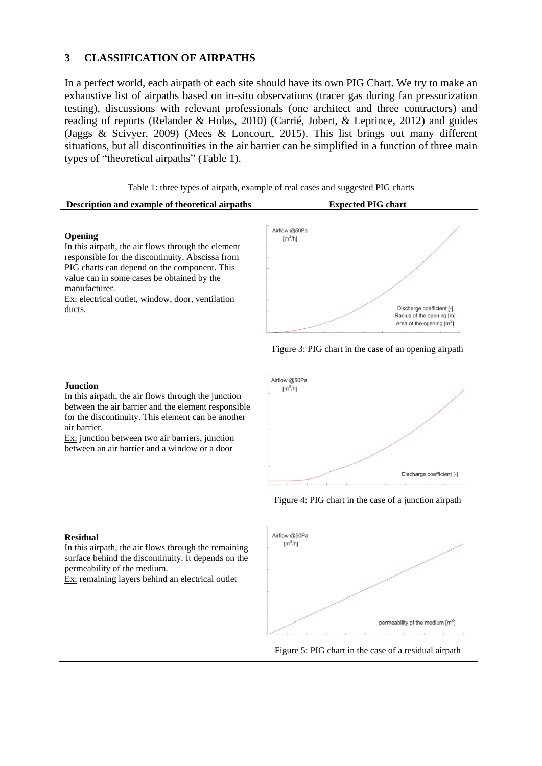## **3 CLASSIFICATION OF AIRPATHS**

In a perfect world, each airpath of each site should have its own PIG Chart. We try to make an exhaustive list of airpaths based on in-situ observations (tracer gas during fan pressurization testing), discussions with relevant professionals (one architect and three contractors) and reading of reports (Relander & Holøs, 2010) (Carrié, Jobert, & Leprince, 2012) and guides (Jaggs & Scivyer, 2009) (Mees & Loncourt, 2015). This list brings out many different situations, but all discontinuities in the air barrier can be simplified in a function of three main types of "theoretical airpaths" [\(Table 1\)](#page-4-0).

<span id="page-4-0"></span>

| Table 1: three types of airpath, example of real cases and suggested PIG charts                                                                                                                                                                                                             |                                                     |                                                        |
|---------------------------------------------------------------------------------------------------------------------------------------------------------------------------------------------------------------------------------------------------------------------------------------------|-----------------------------------------------------|--------------------------------------------------------|
| Description and example of theoretical airpaths                                                                                                                                                                                                                                             | <b>Expected PIG chart</b>                           |                                                        |
| <b>Opening</b><br>In this airpath, the air flows through the element<br>responsible for the discontinuity. Abscissa from<br>PIG charts can depend on the component. This<br>value can in some cases be obtained by the<br>manufacturer.<br>Ex: electrical outlet, window, door, ventilation | Airflow @50Pa<br>$\left[\text{m}^3/\text{h}\right]$ |                                                        |
| ducts.                                                                                                                                                                                                                                                                                      |                                                     | Discharge coefficient [-]<br>Radius of the opening [m] |





Figure 3: PIG chart in the case of an opening airpath

Area of the opening  $\text{Im}^2$ 

#### Figure 4: PIG chart in the case of a junction airpath





#### **Residual**

**Junction**

air barrier.

In this airpath, the air flows through the remaining surface behind the discontinuity. It depends on the permeability of the medium.

In this airpath, the air flows through the junction between the air barrier and the element responsible for the discontinuity. This element can be another

Ex: junction between two air barriers, junction between an air barrier and a window or a door

Ex: remaining layers behind an electrical outlet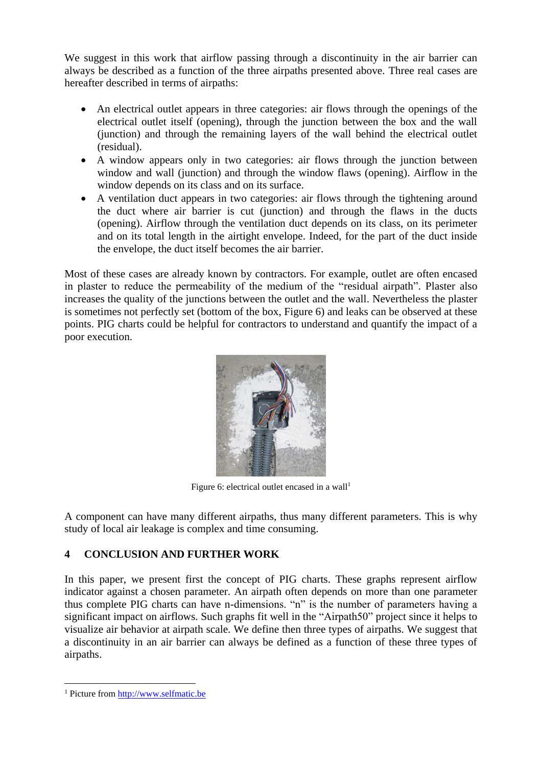We suggest in this work that airflow passing through a discontinuity in the air barrier can always be described as a function of the three airpaths presented above. Three real cases are hereafter described in terms of airpaths:

- An electrical outlet appears in three categories: air flows through the openings of the electrical outlet itself (opening), through the junction between the box and the wall (junction) and through the remaining layers of the wall behind the electrical outlet (residual).
- A window appears only in two categories: air flows through the junction between window and wall (junction) and through the window flaws (opening). Airflow in the window depends on its class and on its surface.
- A ventilation duct appears in two categories: air flows through the tightening around the duct where air barrier is cut (junction) and through the flaws in the ducts (opening). Airflow through the ventilation duct depends on its class, on its perimeter and on its total length in the airtight envelope. Indeed, for the part of the duct inside the envelope, the duct itself becomes the air barrier.

Most of these cases are already known by contractors. For example, outlet are often encased in plaster to reduce the permeability of the medium of the "residual airpath". Plaster also increases the quality of the junctions between the outlet and the wall. Nevertheless the plaster is sometimes not perfectly set (bottom of the box, [Figure 6\)](#page-5-0) and leaks can be observed at these points. PIG charts could be helpful for contractors to understand and quantify the impact of a poor execution.



Figure 6: electrical outlet encased in a wall<sup>1</sup>

<span id="page-5-0"></span>A component can have many different airpaths, thus many different parameters. This is why study of local air leakage is complex and time consuming.

# **4 CONCLUSION AND FURTHER WORK**

In this paper, we present first the concept of PIG charts. These graphs represent airflow indicator against a chosen parameter. An airpath often depends on more than one parameter thus complete PIG charts can have n-dimensions. "n" is the number of parameters having a significant impact on airflows. Such graphs fit well in the "Airpath50" project since it helps to visualize air behavior at airpath scale. We define then three types of airpaths. We suggest that a discontinuity in an air barrier can always be defined as a function of these three types of airpaths.

1

<sup>1</sup> Picture fro[m http://www.selfmatic.be](http://www.selfmatic.be/)